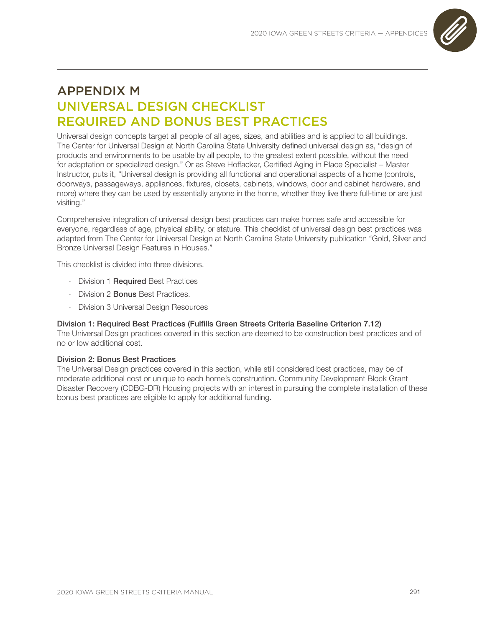

# APPENDIX M UNIVERSAL DESIGN CHECKLIST REQUIRED AND BONUS BEST PRACTICES

Universal design concepts target all people of all ages, sizes, and abilities and is applied to all buildings. The Center for Universal Design at North Carolina State University defined universal design as, "design of products and environments to be usable by all people, to the greatest extent possible, without the need for adaptation or specialized design." Or as Steve Hoffacker, Certified Aging in Place Specialist – Master Instructor, puts it, "Universal design is providing all functional and operational aspects of a home (controls, doorways, passageways, appliances, fixtures, closets, cabinets, windows, door and cabinet hardware, and more) where they can be used by essentially anyone in the home, whether they live there full-time or are just visiting."

Comprehensive integration of universal design best practices can make homes safe and accessible for everyone, regardless of age, physical ability, or stature. This checklist of universal design best practices was adapted from The Center for Universal Design at North Carolina State University publication "Gold, Silver and Bronze Universal Design Features in Houses."

This checklist is divided into three divisions.

- · Division 1 Required Best Practices
- · Division 2 Bonus Best Practices.
- · Division 3 Universal Design Resources

### Division 1: Required Best Practices (Fulfills Green Streets Criteria Baseline Criterion 7.12)

The Universal Design practices covered in this section are deemed to be construction best practices and of no or low additional cost.

#### Division 2: Bonus Best Practices

The Universal Design practices covered in this section, while still considered best practices, may be of moderate additional cost or unique to each home's construction. Community Development Block Grant Disaster Recovery (CDBG-DR) Housing projects with an interest in pursuing the complete installation of these bonus best practices are eligible to apply for additional funding.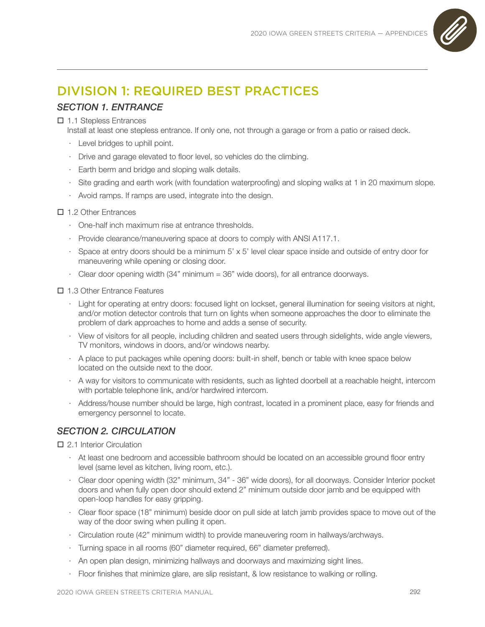

# DIVISION 1: REQUIRED BEST PRACTICES

## *SECTION 1. ENTRANCE*

#### 1.1 Stepless Entrances

Install at least one stepless entrance. If only one, not through a garage or from a patio or raised deck.

- · Level bridges to uphill point.
- · Drive and garage elevated to floor level, so vehicles do the climbing.
- · Earth berm and bridge and sloping walk details.
- · Site grading and earth work (with foundation waterproofing) and sloping walks at 1 in 20 maximum slope.
- · Avoid ramps. If ramps are used, integrate into the design.

#### 1.2 Other Entrances

- · One-half inch maximum rise at entrance thresholds.
- · Provide clearance/maneuvering space at doors to comply with ANSI A117.1.
- · Space at entry doors should be a minimum 5' x 5' level clear space inside and outside of entry door for maneuvering while opening or closing door.
- · Clear door opening width (34" minimum = 36" wide doors), for all entrance doorways.

#### 1.3 Other Entrance Features

- · Light for operating at entry doors: focused light on lockset, general illumination for seeing visitors at night, and/or motion detector controls that turn on lights when someone approaches the door to eliminate the problem of dark approaches to home and adds a sense of security.
- · View of visitors for all people, including children and seated users through sidelights, wide angle viewers, TV monitors, windows in doors, and/or windows nearby.
- · A place to put packages while opening doors: built-in shelf, bench or table with knee space below located on the outside next to the door.
- · A way for visitors to communicate with residents, such as lighted doorbell at a reachable height, intercom with portable telephone link, and/or hardwired intercom.
- · Address/house number should be large, high contrast, located in a prominent place, easy for friends and emergency personnel to locate.

## *SECTION 2. CIRCULATION*

## □ 2.1 Interior Circulation

- · At least one bedroom and accessible bathroom should be located on an accessible ground floor entry level (same level as kitchen, living room, etc.).
- · Clear door opening width (32" minimum, 34" 36" wide doors), for all doorways. Consider Interior pocket doors and when fully open door should extend 2" minimum outside door jamb and be equipped with open-loop handles for easy gripping.
- · Clear floor space (18" minimum) beside door on pull side at latch jamb provides space to move out of the way of the door swing when pulling it open.
- · Circulation route (42" minimum width) to provide maneuvering room in hallways/archways.
- · Turning space in all rooms (60" diameter required, 66" diameter preferred).
- · An open plan design, minimizing hallways and doorways and maximizing sight lines.
- · Floor finishes that minimize glare, are slip resistant, & low resistance to walking or rolling.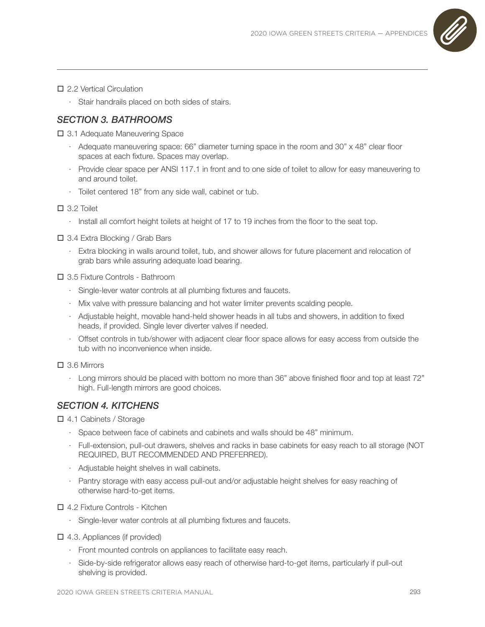

#### □ 2.2 Vertical Circulation

· Stair handrails placed on both sides of stairs.

## *SECTION 3. BATHROOMS*

□ 3.1 Adequate Maneuvering Space

- · Adequate maneuvering space: 66" diameter turning space in the room and 30" x 48" clear floor spaces at each fixture. Spaces may overlap.
- · Provide clear space per ANSI 117.1 in front and to one side of toilet to allow for easy maneuvering to and around toilet.
- · Toilet centered 18" from any side wall, cabinet or tub.

#### 3.2 Toilet

· Install all comfort height toilets at height of 17 to 19 inches from the floor to the seat top.

3.4 Extra Blocking / Grab Bars

· Extra blocking in walls around toilet, tub, and shower allows for future placement and relocation of grab bars while assuring adequate load bearing.

3.5 Fixture Controls - Bathroom

- · Single-lever water controls at all plumbing fixtures and faucets.
- · Mix valve with pressure balancing and hot water limiter prevents scalding people.
- · Adjustable height, movable hand-held shower heads in all tubs and showers, in addition to fixed heads, if provided. Single lever diverter valves if needed.
- · Offset controls in tub/shower with adjacent clear floor space allows for easy access from outside the tub with no inconvenience when inside.

3.6 Mirrors

· Long mirrors should be placed with bottom no more than 36" above finished floor and top at least 72" high. Full-length mirrors are good choices.

## *SECTION 4. KITCHENS*

4.1 Cabinets / Storage

- · Space between face of cabinets and cabinets and walls should be 48" minimum.
- · Full-extension, pull-out drawers, shelves and racks in base cabinets for easy reach to all storage (NOT REQUIRED, BUT RECOMMENDED AND PREFERRED).
- · Adjustable height shelves in wall cabinets.
- · Pantry storage with easy access pull-out and/or adjustable height shelves for easy reaching of otherwise hard-to-get items.

#### 4.2 Fixture Controls - Kitchen

· Single-lever water controls at all plumbing fixtures and faucets.

 $\Box$  4.3. Appliances (if provided)

- · Front mounted controls on appliances to facilitate easy reach.
- · Side-by-side refrigerator allows easy reach of otherwise hard-to-get items, particularly if pull-out shelving is provided.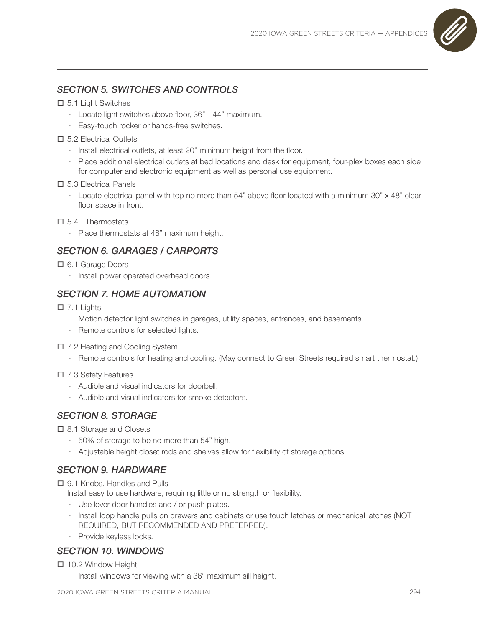

# *SECTION 5. SWITCHES AND CONTROLS*

### 5.1 Light Switches

- · Locate light switches above floor, 36" 44" maximum.
- · Easy-touch rocker or hands-free switches.

## □ 5.2 Electrical Outlets

- · Install electrical outlets, at least 20" minimum height from the floor.
- · Place additional electrical outlets at bed locations and desk for equipment, four-plex boxes each side for computer and electronic equipment as well as personal use equipment.

### □ 5.3 Electrical Panels

- · Locate electrical panel with top no more than 54" above floor located with a minimum 30" x 48" clear floor space in front.
- $\square$  5.4 Thermostats
	- · Place thermostats at 48" maximum height.

## *SECTION 6. GARAGES / CARPORTS*

- 6.1 Garage Doors
	- · Install power operated overhead doors.

## *SECTION 7. HOME AUTOMATION*

### $\Box$  7.1 Lights

- · Motion detector light switches in garages, utility spaces, entrances, and basements.
- · Remote controls for selected lights.
- □ 7.2 Heating and Cooling System
	- · Remote controls for heating and cooling. (May connect to Green Streets required smart thermostat.)

### 7.3 Safety Features

- · Audible and visual indicators for doorbell.
- · Audible and visual indicators for smoke detectors.

## *SECTION 8. STORAGE*

□ 8.1 Storage and Closets

- · 50% of storage to be no more than 54" high.
- · Adjustable height closet rods and shelves allow for flexibility of storage options.

## *SECTION 9. HARDWARE*

□ 9.1 Knobs, Handles and Pulls

- Install easy to use hardware, requiring little or no strength or flexibility.
- · Use lever door handles and / or push plates.
- · Install loop handle pulls on drawers and cabinets or use touch latches or mechanical latches (NOT REQUIRED, BUT RECOMMENDED AND PREFERRED).
- · Provide keyless locks.

## *SECTION 10. WINDOWS*

□ 10.2 Window Height

· Install windows for viewing with a 36" maximum sill height.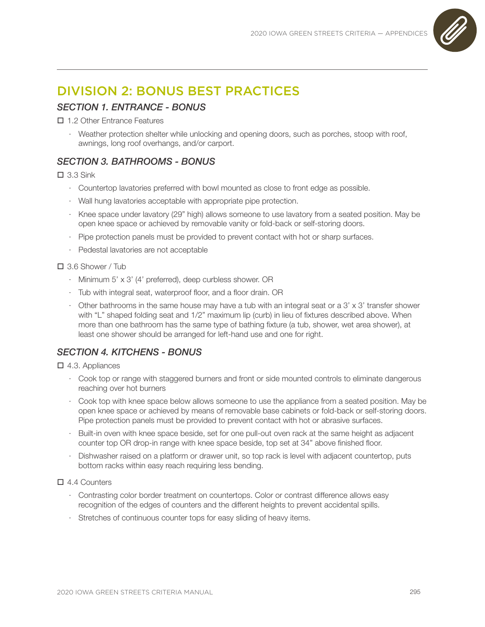

# DIVISION 2: BONUS BEST PRACTICES

## *SECTION 1. ENTRANCE - BONUS*

□ 1.2 Other Entrance Features

· Weather protection shelter while unlocking and opening doors, such as porches, stoop with roof, awnings, long roof overhangs, and/or carport.

## *SECTION 3. BATHROOMS - BONUS*

 $\Box$  3.3 Sink

- · Countertop lavatories preferred with bowl mounted as close to front edge as possible.
- · Wall hung lavatories acceptable with appropriate pipe protection.
- · Knee space under lavatory (29" high) allows someone to use lavatory from a seated position. May be open knee space or achieved by removable vanity or fold-back or self-storing doors.
- · Pipe protection panels must be provided to prevent contact with hot or sharp surfaces.
- · Pedestal lavatories are not acceptable

3.6 Shower / Tub

- · Minimum 5' x 3' (4' preferred), deep curbless shower. OR
- · Tub with integral seat, waterproof floor, and a floor drain. OR
- $\cdot$  Other bathrooms in the same house may have a tub with an integral seat or a 3' x 3' transfer shower with "L" shaped folding seat and 1/2" maximum lip (curb) in lieu of fixtures described above. When more than one bathroom has the same type of bathing fixture (a tub, shower, wet area shower), at least one shower should be arranged for left-hand use and one for right.

## *SECTION 4. KITCHENS - BONUS*

 $\Box$  4.3. Appliances

- · Cook top or range with staggered burners and front or side mounted controls to eliminate dangerous reaching over hot burners
- · Cook top with knee space below allows someone to use the appliance from a seated position. May be open knee space or achieved by means of removable base cabinets or fold-back or self-storing doors. Pipe protection panels must be provided to prevent contact with hot or abrasive surfaces.
- · Built-in oven with knee space beside, set for one pull-out oven rack at the same height as adjacent counter top OR drop-in range with knee space beside, top set at 34" above finished floor.
- · Dishwasher raised on a platform or drawer unit, so top rack is level with adjacent countertop, puts bottom racks within easy reach requiring less bending.

□ 4.4 Counters

- · Contrasting color border treatment on countertops. Color or contrast difference allows easy recognition of the edges of counters and the different heights to prevent accidental spills.
- · Stretches of continuous counter tops for easy sliding of heavy items.